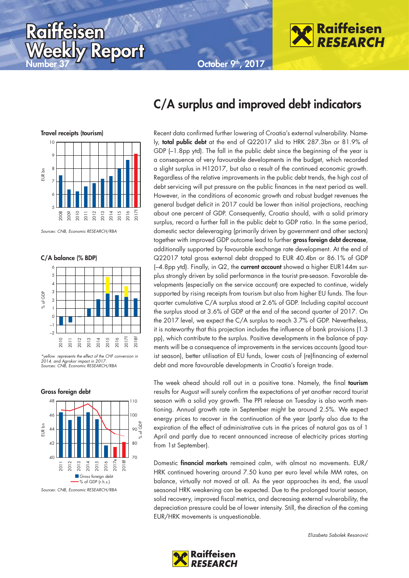October 9<sup>th</sup>, 2017



Travel receipts (tourism) 10

Raiffeisen



**Report** 

C/A balance (% BDP)



\*yellow represents the effect of the CHF conversion in 2014. and Agrokor impact in 2017. Sources: CNB, Economic RESEARCH/RBA





### C/A surplus and improved debt indicators

Recent data confirmed further lowering of Croatia's external vulnerability. Namely, total public debt at the end of Q22017 slid to HRK 287.3bn or 81.9% of GDP (–1.8pp ytd). The fall in the public debt since the beginning of the year is a consequence of very favourable developments in the budget, which recorded a slight surplus in H12017, but also a result of the continued economic growth. Regardless of the relative improvements in the public debt trends, the high cost of debt servicing will put pressure on the public finances in the next period as well. However, in the conditions of economic growth and robust budget revenues the general budget deficit in 2017 could be lower than initial projections, reaching about one percent of GDP. Consequently, Croatia should, with a solid primary surplus, record a further fall in the public debt to GDP ratio. In the same period, domestic sector deleveraging (primarily driven by government and other sectors) together with improved GDP outcome lead to further gross foreign debt decrease, additionally supported by favourable exchange rate development. At the end of Q22017 total gross external debt dropped to EUR 40.4bn or 86.1% of GDP  $(-4.8$ pp ytd). Finally, in Q2, the current account showed a higher EUR144m surplus strongly driven by solid performance in the tourist pre-season. Favorable developments (especially on the service account) are expected to continue, widely supported by rising receipts from tourism but also from higher EU funds. The fourquarter cumulative C/A surplus stood at 2.6% of GDP. Including capital account the surplus stood at 3.6% of GDP at the end of the second quarter of 2017. On the 2017 level, we expect the C/A surplus to reach 3.7% of GDP. Nevertheless, it is noteworthy that this projection includes the influence of bank provisions (1.3 pp), which contribute to the surplus. Positive developments in the balance of payments will be a consequence of improvements in the services accounts (good tourist season), better utilisation of EU funds, lower costs of (re)financing of external debt and more favourable developments in Croatia's foreign trade.

The week ahead should roll out in a positive tone. Namely, the final tourism results for August will surely confirm the expectations of yet another record tourist season with a solid yoy growth. The PPI release on Tuesday is also worth mentioning. Annual growth rate in September might be around 2.5%. We expect energy prices to recover in the continuation of the year (partly also due to the expiration of the effect of administrative cuts in the prices of natural gas as of 1 April and partly due to recent announced increase of electricity prices starting from 1st September).

Domestic financial markets remained calm, with almost no movements. EUR/ HRK continued hovering around 7.50 kuna per euro level while MM rates, on balance, virtually not moved at all. As the year approaches its end, the usual seasonal HRK weakening can be expected. Due to the prolonged tourist season, solid recovery, improved fiscal metrics, and decreasing external vulnerability, the depreciation pressure could be of lower intensity. Still, the direction of the coming EUR/HRK movements is unquestionable.



Sources: CNB, Economic RESEARCH/RBA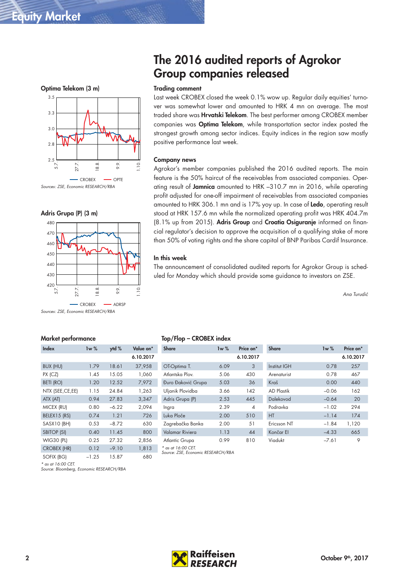





Sources: ZSE, Economic RESEARCH/RBA

# The 2016 audited reports of Agrokor Group companies released

#### Trading comment

Last week CROBEX closed the week 0.1% wow up. Regular daily equities' turnover was somewhat lower and amounted to HRK 4 mn on average. The most traded share was **Hrvatski Telekom**. The best performer among CROBEX member companies was Optima Telekom, while transportation sector index posted the strongest growth among sector indices. Equity indices in the region saw mostly positive performance last week.

#### Company news

Agrokor's member companies published the 2016 audited reports. The main feature is the 50% haircut of the receivables from associated companies. Operating result of Jamnica amounted to HRK -310.7 mn in 2016, while operating profit adjusted for one-off impairment of receivables from associated companies amounted to HRK 306.1 mn and is 17% yoy up. In case of Ledo, operating result stood at HRK 157.6 mn while the normalized operating profit was HRK 404.7m (8.1% up from 2015). Adris Group and Croatia Osiguranje informed on financial regulator's decision to approve the acquisition of a qualifying stake of more than 50% of voting rights and the share capital of BNP Paribas Cardif Insurance.

#### In this week

The announcement of consolidated audited reports for Agrokor Group is scheduled for Monday which should provide some guidance to investors on ZSE.

Ana Turudić

#### Market performance

\* as at 16:00 CET.

Source: Bloomberg, Economic RESEARCH/RBA

| Index              | 1w%     | ytd %   | Value on* |
|--------------------|---------|---------|-----------|
|                    |         |         | 6.10.2017 |
| BUX (HU)           | 1.79    | 18.61   | 37,958    |
| $PX$ ( $CZ$ )      | 1.45    | 15.05   | 1,060     |
| <b>BETI (RO)</b>   | 1.20    | 12.52   | 7,972     |
| NTX (SEE, CE, EE)  | 1.15    | 24.84   | 1,263     |
| ATX (AT)           | 0.94    | 27.83   | 3,347     |
| MICEX (RU)         | 0.80    | $-6.22$ | 2,094     |
| BELEX15 (RS)       | 0.74    | 1.21    | 726       |
| SASX10 (BH)        | 0.53    | $-8.72$ | 630       |
| <b>SBITOP (SI)</b> | 0.40    | 11.45   | 800       |
| <b>WIG30 (PL)</b>  | 0.25    | 27.32   | 2,856     |
| <b>CROBEX (HR)</b> | 0.12    | $-9.10$ | 1,813     |
| SOFIX (BG)         | $-1.25$ | 15.87   | 680       |

Top/Flop – CROBEX index

| <b>Share</b>                         | 1w%                           | Price on*      | <b>Share</b> | 1w%     | Price on* |
|--------------------------------------|-------------------------------|----------------|--------------|---------|-----------|
|                                      |                               | 6.10.2017      |              |         | 6.10.2017 |
| OT-Optima T.                         | 6.09                          | 3              | Institut IGH | 0.78    | 257       |
| Atlantska Plov.                      | 5.06                          | 430            | Arenaturist  | 0.78    | 467       |
| Đuro Đaković Grupa                   | 5.03                          | 36             | Kraš         | 0.00    | 440       |
| Uljanik Plovidba                     | 3.66                          | 142            | AD Plastik   | $-0.06$ | 162       |
| Adris Grupa (P)                      | 2.53                          | 445            | Dalekovod    | $-0.64$ | 20        |
| Ingra                                | 2.39                          | $\overline{4}$ | Podravka     | $-1.02$ | 294       |
| Luka Ploče                           | 2.00                          | 510            | HT           | $-1.14$ | 174       |
| Zagrebačka Banka                     | 2.00                          | 51             | Ericsson NT  | $-1.84$ | 1,120     |
| Valamar Riviera                      | 1.13                          | 44             | Končar El    | $-4.33$ | 665       |
| Atlantic Grupa<br>* as at 16:00 CET. | 0.99<br>$\cdot$ DECEIDOU (DDI | 810            | Viadukt      | $-7.61$ | 9         |

Source: ZSE, Economic RESEARCH/RBA

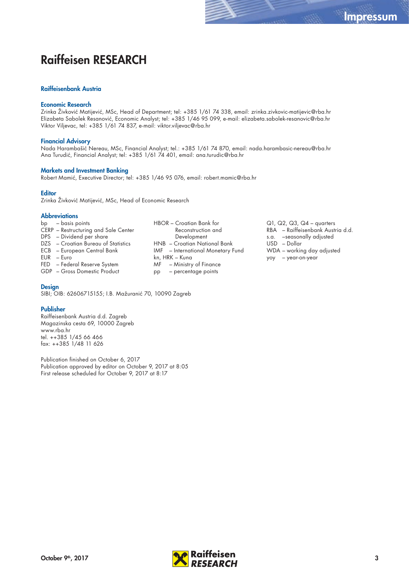### Raiffeisen RESEARCH

#### Raiffeisenbank Austria

#### Economic Research

Zrinka Živković Matijević, MSc, Head of Department; tel: +385 1/61 74 338, email: zrinka.zivkovic-matijevic@rba.hr Elizabeta Sabolek Resanović, Economic Analyst; tel: +385 1/46 95 099, e-mail: elizabeta.sabolek-resanovic@rba.hr Viktor Viljevac, tel: +385 1/61 74 837, e-mail: viktor.viljevac@rba.hr

#### Financial Advisory

Nada Harambašić Nereau, MSc, Financial Analyst; tel.: +385 1/61 74 870, email: nada.harambasic-nereau@rba.hr Ana Turudić, Financial Analyst; tel: +385 1/61 74 401, email: ana.turudic@rba.hr

#### Markets and Investment Banking

Robert Mamić, Executive Director; tel: +385 1/46 95 076, email: robert.mamic@rba.hr

#### **Editor**

Zrinka Živković Matijević, MSc, Head of Economic Research

#### **Abbreviations**

- bp basis points CERP – Restructuring and Sale Center DPS – Dividend per share DZS – Croatian Bureau of Statistics ECB – European Central Bank EUR – Euro
- 
- FED Federal Reserve System
- GDP Gross Domestic Product

#### **Design**

SIBI; OIB: 62606715155; I.B. Mažuranić 70, 10090 Zagreb

#### Publisher

Raiffeisenbank Austria d.d. Zagreb Magazinska cesta 69, 10000 Zagreb www.rba.hr tel. ++385 1/45 66 466 fax: ++385 1/48 11 626

Publication finished on October 6, 2017 Publication approved by editor on October 9, 2017 at 8:05 First release scheduled for October 9, 2017 at 8:17

- HBOR Croatian Bank for Reconstruction and Development HNB – Croatian National Bank IMF – International Monetary Fund kn, HRK – Kuna MF – Ministry of Finance pp – percentage points
- Q1, Q2, Q3, Q4 quarters RBA – Raiffeisenbank Austria d.d. s.a. –seasonally adjusted USD – Dollar WDA – working day adjusted yoy – year-on-year

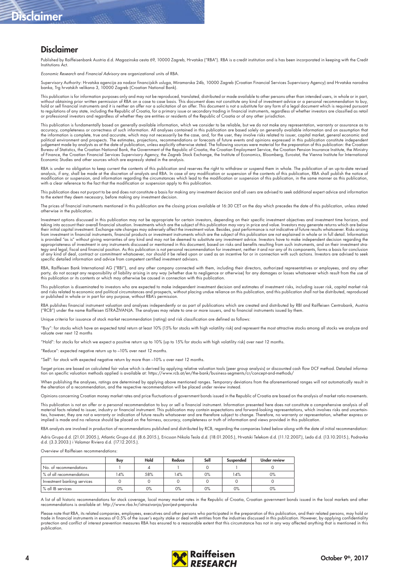## Disclaimer

### Disclaimer

Published by Raiffeisenbank Austria d.d. Magazinska cesta 69, 10000 Zagreb, Hrvatska ("RBA"). RBA is a credit institution and is has been incorporated in keeping with the Credit Institutions Act.

Economic Research and Financial Advisory are organizational units of RBA.

Supervisory Authority: Hrvatska agencija za nadzor financijskih usluga, Miramarska 24b, 10000 Zagreb (Croatian Financial Services Supervisory Agency) and Hrvatska narodna<br>banka, Trg hrvatskih velikana 3, 10000 Zagreb (Croa

This publication is for information purposes only and may not be reproduced, translated, distributed or made available to other persons other than intended users, in whole or in part, without obtaining prior written permission of RBA on a case to case basis. This document does not constitute any kind of investment advice or a personal recommendation to buy,<br>hold or sell financial instruments and it is n or professional investors and regardless of whether they are entities or residents of the Republic of Croatia or of any other jurisdiction.

This publication is fundamentally based on generally available information, which we consider to be reliable, but we do not make any representation, warranty or assurance as to accuracy, completeness or correctness of such information. All analyses contained in this publication are based solely on generally available information and on assumption that<br>the information is complete, true and accurat political environment and prospects. The estimates, projections, recommendations or forecasts of future events and opinions expressed in this publication constitute independent<br>judgement made by analysts as at the date of Bureau of Statistics, the Croatian National Bank, the Government of the Republic of Croatia, the Croatian Employment Service, the Croatian Pension Insurance Institute, the Ministry of Finance, the Croatian Financial Services Supervisory Agency, the Zagreb Stock Exchange, the Institute of Economics, Bloomberg, Eurostat, the Vienna Institute for International<br>Economic Studies and other sources which ar

RBA is under no obligation to keep current the contents of this publication and reserves the right to withdraw or suspend them in whole. The publication of an up-to-date revised analysis, if any, shall be made at the discretion of analysts and RBA. In case of any modification or suspension of the contents of this publication, RBA shall publish the notice of modification or suspension, and information regarding the circumstances which lead to the modification or suspension of this publication, in the same manner as this publication,<br>with a clear reference to the fact that the

This publication does not purport to be and does not constitute a basis for making any investment decision and all users are advised to seek additional expert advice and information to the extent they deem necessary, before making any investment decision.

The prices of financial instruments mentioned in this publication are the closing prices available at 16:30 CET on the day which precedes the date of this publication, unless stated otherwise in the publication.

Investment options discussed in this publication may not be appropriate for certain investors, depending on their specific investment objectives and investment time horizon, and taking into account their overall financial situation. Investments which are the subject of this publication may vary in price and value. Investors may generate returns which are below<br>their initial capital investment. Exc from investment in financial instruments, financial products or investment instruments which are the subject of this publication are not explained in whole or in full detail. Information is provided "as is" without giving warranties of any kind and may not be deemed to substitute any investment advice. Investors have to make independent decision regarding the appropriateness of investment in any instruments discussed or mentioned in this document, based on risks and benefits resulting from such instruments, and on their investment strategy and legal, fiscal and financial position. As this publication is not personal recommendation for investment, neither it and nor any of its components, forms a basis for conclusion<br>of any kind of deal, contract or comm specific detailed information and advice from competent certified investment advisors.

RBA, Raiffeisen Bank International AG ("RBI"), and any other company connected with them, including their directors, authorized representatives or employees, and any other<br>party, do not accept any responsibility of liabili

This publication is disseminated to investors who are expected to make independent investment decision and estimates of investment risks, including issuer risk, capital market risk and risks related to economic and political circumstances and prospects, without placing undue reliance on this publication, and this publication shall not be distributed, reproduced<br>or published in whole or in part for an

RBA publishes tinancial instrument valuation and analyses independently or as part ot publications which are created and distributed by RBI and Raitleisen Centrobank, Austria<br>("RCB") under the name Raiffeisen ISTRAŽIVANJA.

e criteria for issuance of stock market recommendation (rating) and risk classification are defined as follows:

"Buy": for stocks which have an expected total return at least 10% (15% for stocks with high volatility risk) and represent the most attractive stocks among all stocks we analyze and valuate over next 12 months

"Hold": for stocks for which we expect a positive return up to 10% (up to 15% for stocks with high volatility risk) over next 12 months.

"Reduce": expected negative return up to –10% over next 12 months.

"Sell": for stock with expected negative return by more than –10% u over next 12 months.

Target prices are based on calculated fair value which is derived by applying relative valuation tools (peer group analysis) or discounted cash flow DCF method. Detailed informa:<br>tion on specific valuation methods applied

When publishing the analyses, ratings are determined by applying above mentioned ranges. Temporary deviations from the aforementioned ranges will not automatically result in<br>the alteration of a recommendation, and the resp

Opinions concerning Croatian money market rates and price fluctuations of government bonds issued in the Republic of Croatia are based on the analysis of market ratio movements.

This publication is not an offer or a personal recommendation to buy or sell a financial instrument. Information presented here does not constitute a comprehensive analysis of all material facts related to issuer, industry or financial instrument. This publication may contain expectations and forward-looking representations, which involves risks and uncertainties, however, they are not a warranty or indication of future results whatsoever and are therefore subject to change. Therefore, no warranty or representation, whether express or<br>implied is made and no reliance should be

RBA analysts are involved in production of recommendations published and distributed by RCB, regarding the companies listed below along with the date of initial recommendation:

Adris Grupa d.d. (21.01.2005.), Atlantic Grupa d.d. (8.6.2015.), Ericsson Nikola Tesla d.d. (18.01.2005.), Hrvatski Telekom d.d. (11.12.2007.), Ledo d.d. (13.10.2015.), Podravka<br>d.d. (3.3.2003.) i Valamar Riviera d.d. (17.

Overview of Raiffeisen recommendations

|                             | Buy | Hold | Reduce | Sell | Suspended | <b>Under review</b> |
|-----------------------------|-----|------|--------|------|-----------|---------------------|
| No. of recommendations      |     |      |        |      |           |                     |
| % of all recommendations    | 4%  | 58%  | 14%    | 0%   | 14%       | $0\%$               |
| Investment banking services |     |      |        |      |           |                     |
| % all IB services           | 0%  | 0%   | 0%     | 0%   | 0%        | 0%                  |

A list of all historic recommendations for stock coverage, local money market rates in the Republic of Croatia, Croatian government bonds issued in the local markets and other<br>recommendations is available at: http://www.rb

Please note that RBA, its related companies, employees, executives and other persons who participated in the preparation of this publication, and their related persons, may hold or<br>trade in financial instruments in excess protection and conflict of interest prevention measures RBA has ensured to a reasonable extent that this circumstance has not in any way affected anything that is mentioned in this publication.